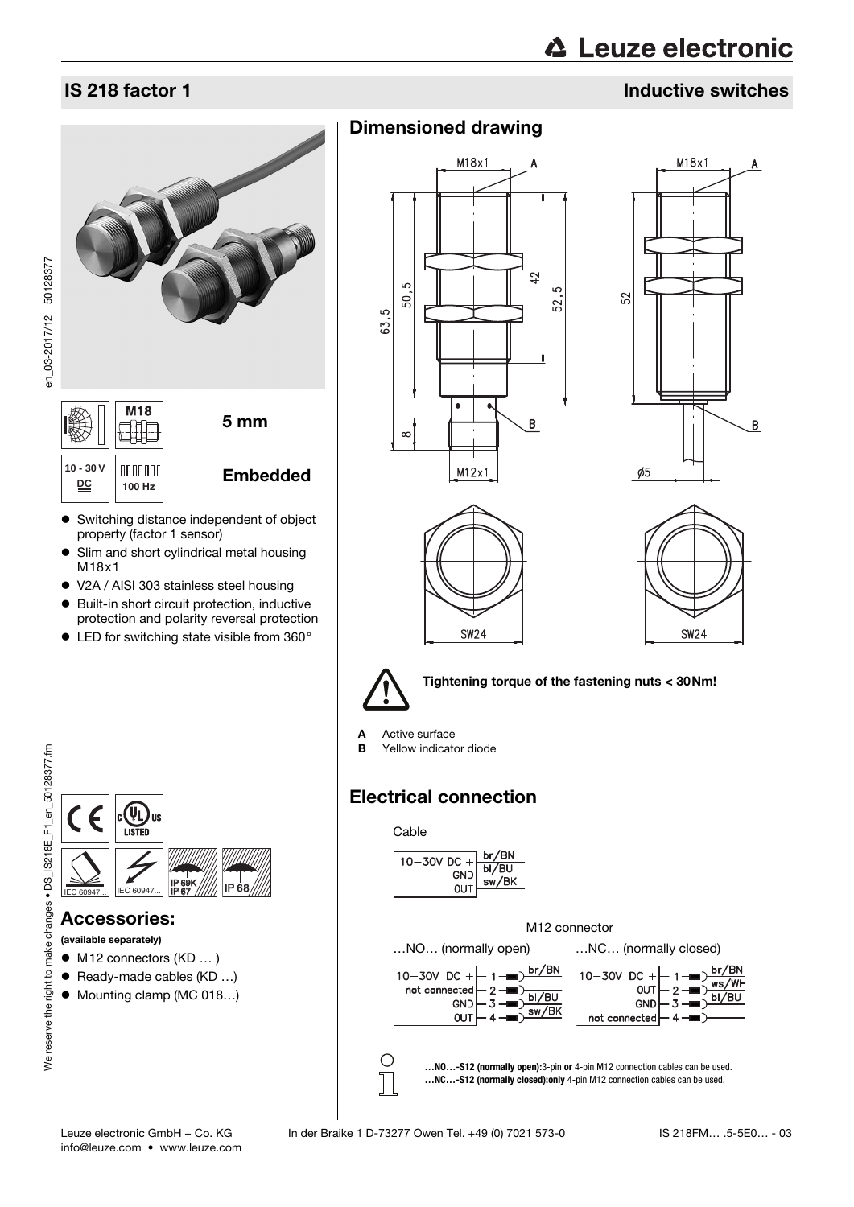# **∆ Leuze electronic**

## IS 218 factor 1 Inductive switches

# M18 5 mm



Dimensioned drawing









Tightening torque of the fastening nuts < 30Nm!

**A** Active surface<br>**B** Yellow indicate

Yellow indicator diode

## Electrical connection



<span id="page-0-0"></span>

 Switching distance independent of object  $\left[\begin{array}{c} 10 - 30 \text{ V} \\ \text{D}\text{C} \end{array}\right]$   $\left[\begin{array}{c} 100 \text{ Hz} \\ 100 \text{ Hz} \end{array}\right]$  **Embedded DC 100 Hz**

- property (factor 1 sensor) • Slim and short cylindrical metal housing M18x1
- V2A / AISI 303 stainless steel housing
- Built-in short circuit protection, inductive protection and polarity reversal protection
- LED for switching state visible from 360°



#### Accessories:

(available separately)

- M12 connectors (KD ... )
- Ready-made cables (KD ...)
- Mounting clamp (MC 018...)

info@leuze.com • www.leuze.com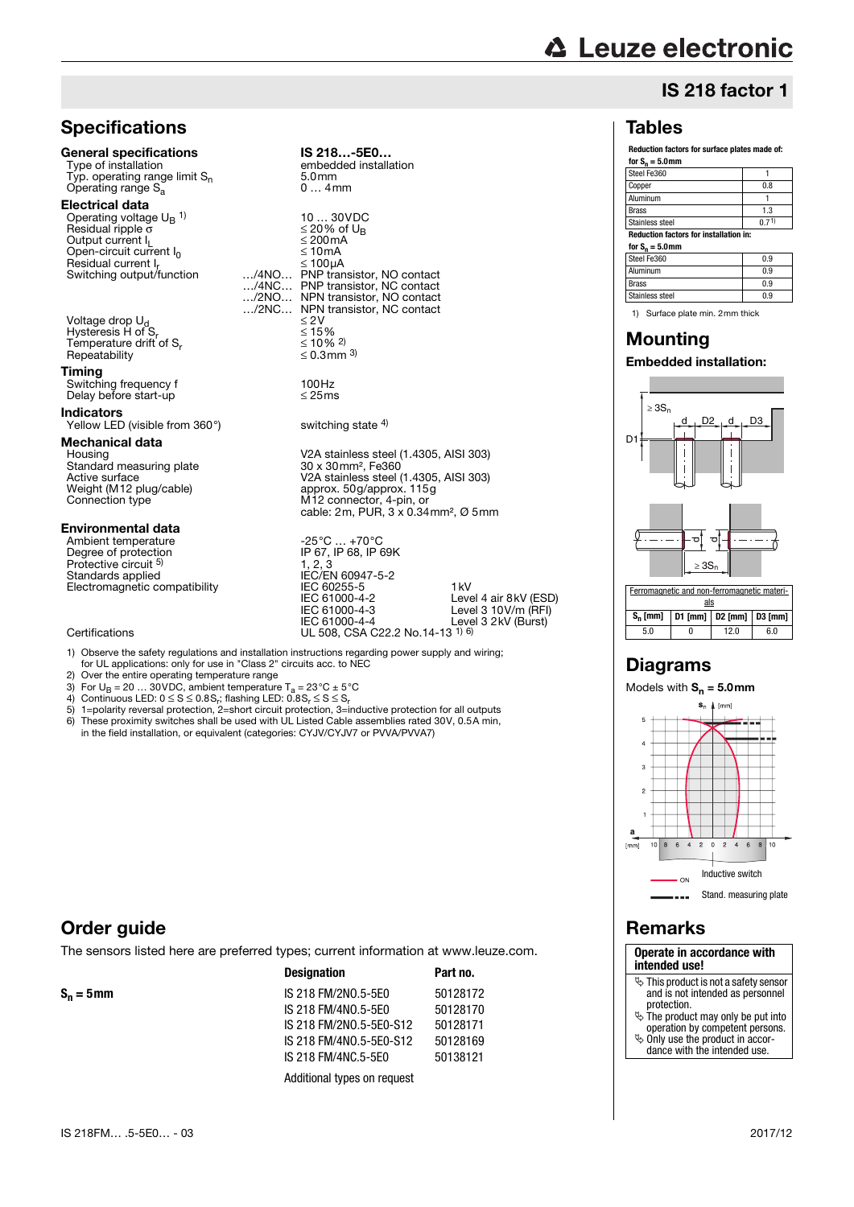## **△ Leuze electronic**

## IS 218 factor 1

#### **Reduction factors for surface plates made of:** for  $S_n =$

|  | 5.UMII |  |  |  |
|--|--------|--|--|--|
|  |        |  |  |  |

Tables

| for $S_n = 5.0$ mm                            |       |  |  |  |
|-----------------------------------------------|-------|--|--|--|
| <b>Reduction factors for installation in:</b> |       |  |  |  |
| Stainless steel                               | (171) |  |  |  |
| <b>Brass</b>                                  | 1.3   |  |  |  |
| Aluminum                                      |       |  |  |  |
| Copper                                        | 0.8   |  |  |  |
| Steel Fe360                                   |       |  |  |  |

Steel Fe360 0.9 Aluminum 0.9 Brass 8. December 1986 Stainless steel 0.9

1) Surface plate min. 2mm thick

## Mounting

#### Embedded installation:



### Diagrams



## Remarks

**Operate in accordance with intended use!**

- $\overline{\mathcal{C}}$  This product is not a safety sensor and is not intended as personnel protection.
- The product may only be put into operation by competent persons.
- 
- Only use the product in accor-dance with the intended use.

## **Specifications**

#### General specifications IS 218...-5E0...<br>Type of installation embedded installation Typ. operating range limit  $S_n$  5.0mm<br>Operating range  $S_a$  6...4mm Operating range  $S_a$ Electrical data Operating voltage  $U_B$ <sup>1)</sup>  $Residual$  ripple σ  $≤ 20%$  of Output current leads of UB set of UB set of UB set of UB set of UB set of UB set of UB set of UB set of UB set of UB set of UB set of UB set of UB set of UB set of UB set of UB set of UB set of U Output current  $I_L$   $\leq$  200m<br>Open-circuit current  $I_0$   $\leq$  10mA Open-circuit current  $I_0$   $\leq 10 \text{ mA}$ <br>Residual current L  $R_{\text{E}}$  Switching output/function  $\ldots$ /4NO... Suitching Support<br>Switching output<br>Manusistor, NC contact .../4NC... PNP transistor, NC contact<br>.../2NO... NPN transistor, NO contact …/2NO… NPN transistor, NO contact Voltage drop  $U_d$ <br>
Hysteresis H of S<sub>r</sub>  $\leq 2V$ <br>
Temperature drift of S<sub>r</sub>  $\leq 15\%$ <br>  $\leq 10\%$ <sup>2)</sup> Hysteresis H of S Temperature drift of S<sub>r</sub>  $\leq 10\%$  2)<br>Repeatability  $\leq 0.3$ mm <sup>3)</sup> Repeatability Timing Switching frequency f 100Hz<br>Delay before start-up control in the system of the S25 ms Delay before start-up Indicators Yellow LED (visible from 360°) switching state <sup>4)</sup> Mechanical data Housing<br>Standard measuring plate<br>Active surface Active surface V2A stainless steel (1.4305, AISI 303)<br>
Weight (M12 plug/cable) approx. 50g/approx. 115g<br>
Connection type M12 connector, 4-pin, or Weight (M12 plug/cable) approx. 50g/approx. 115g<br>Connection type M12 connector, 4-pin, or

#### Environmental data

Ambient temperature<br>
Degree of protection<br>
IP 67, IP 68, IP 69K Degree of protection Protective circuit <sup>5)</sup><br>Standards applied Protective circuit <sup>5)</sup> 1, 2, 3<br>Standards applied IEC/EN 60947-5-2 Electromagnetic compatibility IEC 60255-5

#### Certifications UL 508, CSA C22.2 No.14-13 1) 6)

1) Observe the safety regulations and installation instructions regarding power supply and wiring; for UL applications: only for use in "Class 2" circuits acc. to NEC

IEC 61000-4-2 IEC 61000-4-3 IEC 61000-4-4

embedded installation<br>5.0mm

NPN transistor, NC contact  $\leq 2V$ 

V2A stainless steel (1.4305, AISI 303)<br>30 x 30 mm<sup>2</sup>, Fe360

cable: 2m, PUR, 3 x 0.34mm², Ø 5mm

1kV

Level 4 air 8kV (ESD) Level 3 10V/m (RFI) Level 3 2kV (Burst)

10 ... 30VDC<br> $\leq$  20% of U<sub>B</sub>

2) Over the entire operating temperature range

- 
- 3) For U<sub>B</sub> = 20 … 30VDC, ambient temperature T<sub>a</sub> = 23°C ± 5°C<br>4) Continuous LED: 0 ≤ S ≤ 0.8S<sub>r</sub>; flashing LED: 0.8S<sub>r</sub> ≤ S ≤ S<sub>r</sub>
- 5) 1=polarity reversal protection, 2=short circuit protection, 3=inductive protection for all outputs 6) These proximity switches shall be used with UL Listed Cable assemblies rated 30V, 0.5A min, in the field installation, or equivalent (categories: CYJV/CYJV7 or PVVA/PVVA7)

#### Order guide

The sensors listed here are preferred types; current information at www.leuze.com.

|              | <b>Designation</b>          | Part no. |  |
|--------------|-----------------------------|----------|--|
| $S_n = 5$ mm | IS 218 FM/2N0.5-5E0         | 50128172 |  |
|              | IS 218 FM/4N0.5-5E0         | 50128170 |  |
|              | IS 218 FM/2NO.5-5E0-S12     | 50128171 |  |
|              | IS 218 FM/4N0.5-5E0-S12     | 50128169 |  |
|              | IS 218 FM/4NC.5-5E0         | 50138121 |  |
|              | Additional types on request |          |  |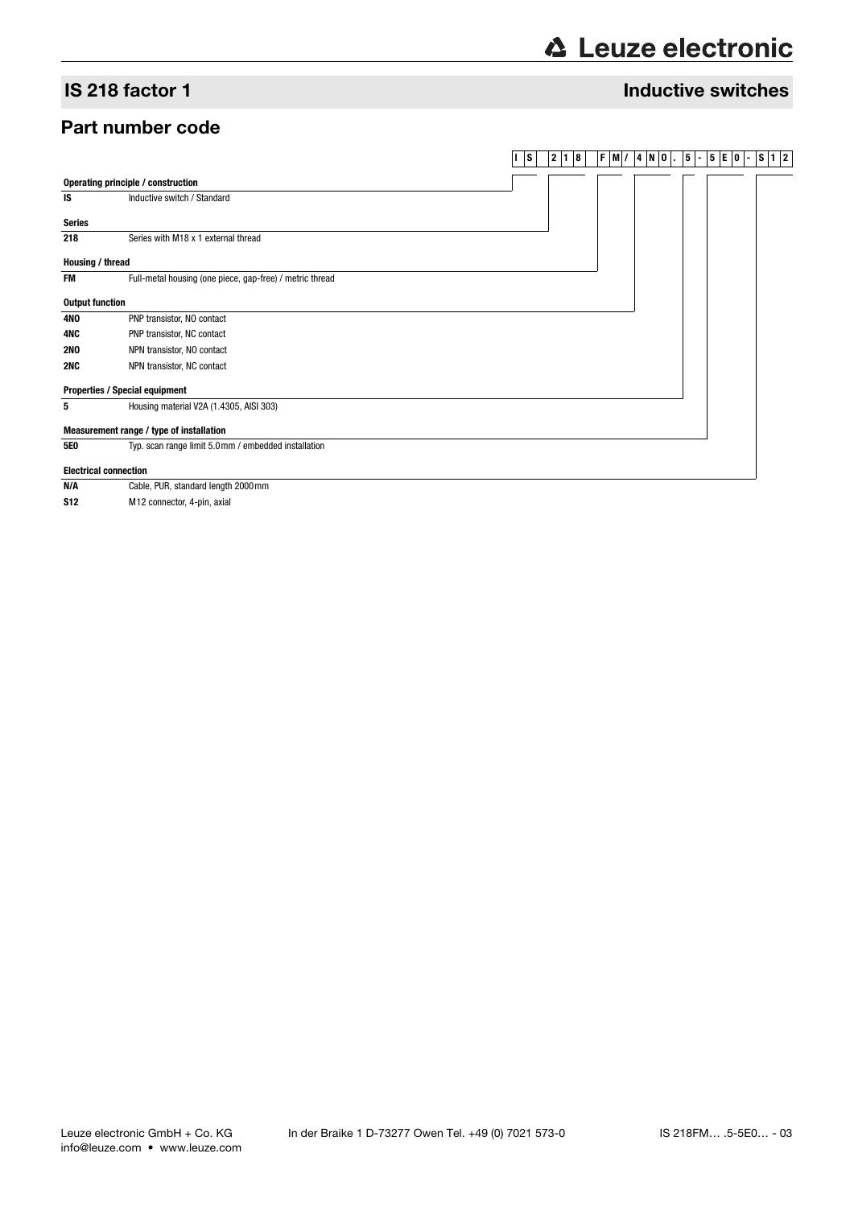## **∆ Leuze electronic**

#### IS 218 factor 1 Inductive switches

#### Part number code

#### **I S 2 1 8 F M/ 4 N O . 5 - 5 E 0 - S 1 2**



**N/A** Cable, PUR, standard length 2000mm **S12** M12 connector, 4-pin, axial